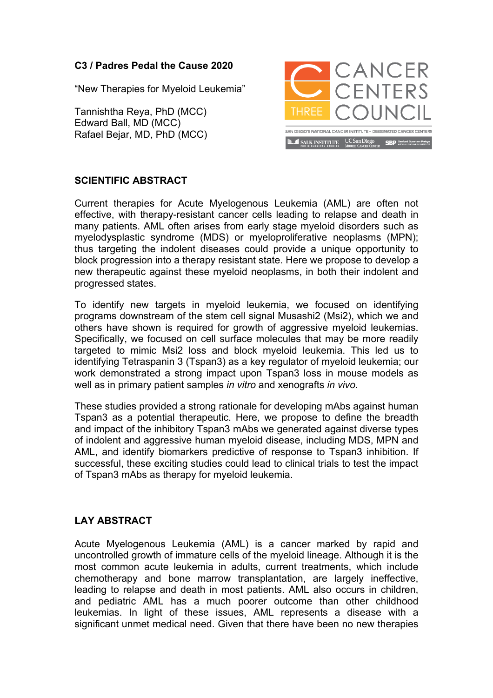## **C3 / Padres Pedal the Cause 2020**

"New Therapies for Myeloid Leukemia"

Tannishtha Reya, PhD (MCC) Edward Ball, MD (MCC) Rafael Bejar, MD, PhD (MCC)



## **SCIENTIFIC ABSTRACT**

Current therapies for Acute Myelogenous Leukemia (AML) are often not effective, with therapy-resistant cancer cells leading to relapse and death in many patients. AML often arises from early stage myeloid disorders such as myelodysplastic syndrome (MDS) or myeloproliferative neoplasms (MPN); thus targeting the indolent diseases could provide a unique opportunity to block progression into a therapy resistant state. Here we propose to develop a new therapeutic against these myeloid neoplasms, in both their indolent and progressed states.

To identify new targets in myeloid leukemia, we focused on identifying programs downstream of the stem cell signal Musashi2 (Msi2), which we and others have shown is required for growth of aggressive myeloid leukemias. Specifically, we focused on cell surface molecules that may be more readily targeted to mimic Msi2 loss and block myeloid leukemia. This led us to identifying Tetraspanin 3 (Tspan3) as a key regulator of myeloid leukemia; our work demonstrated a strong impact upon Tspan3 loss in mouse models as well as in primary patient samples *in vitro* and xenografts *in vivo*.

These studies provided a strong rationale for developing mAbs against human Tspan3 as a potential therapeutic. Here, we propose to define the breadth and impact of the inhibitory Tspan3 mAbs we generated against diverse types of indolent and aggressive human myeloid disease, including MDS, MPN and AML, and identify biomarkers predictive of response to Tspan3 inhibition. If successful, these exciting studies could lead to clinical trials to test the impact of Tspan3 mAbs as therapy for myeloid leukemia.

## **LAY ABSTRACT**

Acute Myelogenous Leukemia (AML) is a cancer marked by rapid and uncontrolled growth of immature cells of the myeloid lineage. Although it is the most common acute leukemia in adults, current treatments, which include chemotherapy and bone marrow transplantation, are largely ineffective, leading to relapse and death in most patients. AML also occurs in children, and pediatric AML has a much poorer outcome than other childhood leukemias. In light of these issues, AML represents a disease with a significant unmet medical need. Given that there have been no new therapies